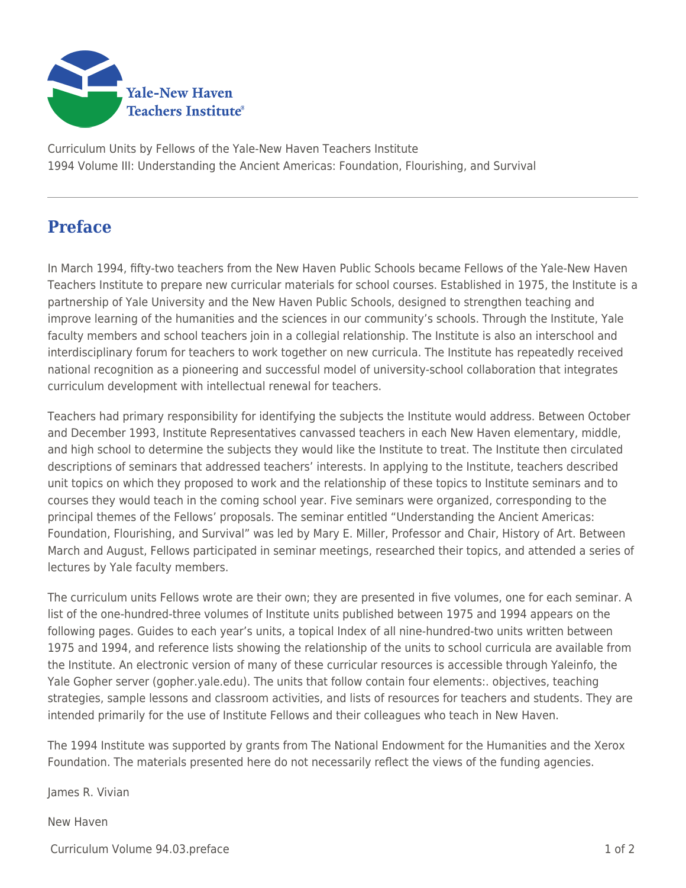

Curriculum Units by Fellows of the Yale-New Haven Teachers Institute 1994 Volume III: Understanding the Ancient Americas: Foundation, Flourishing, and Survival

## **Preface**

In March 1994, fifty-two teachers from the New Haven Public Schools became Fellows of the Yale-New Haven Teachers Institute to prepare new curricular materials for school courses. Established in 1975, the Institute is a partnership of Yale University and the New Haven Public Schools, designed to strengthen teaching and improve learning of the humanities and the sciences in our community's schools. Through the Institute, Yale faculty members and school teachers join in a collegial relationship. The Institute is also an interschool and interdisciplinary forum for teachers to work together on new curricula. The Institute has repeatedly received national recognition as a pioneering and successful model of university-school collaboration that integrates curriculum development with intellectual renewal for teachers.

Teachers had primary responsibility for identifying the subjects the Institute would address. Between October and December 1993, Institute Representatives canvassed teachers in each New Haven elementary, middle, and high school to determine the subjects they would like the Institute to treat. The Institute then circulated descriptions of seminars that addressed teachers' interests. In applying to the Institute, teachers described unit topics on which they proposed to work and the relationship of these topics to Institute seminars and to courses they would teach in the coming school year. Five seminars were organized, corresponding to the principal themes of the Fellows' proposals. The seminar entitled "Understanding the Ancient Americas: Foundation, Flourishing, and Survival" was led by Mary E. Miller, Professor and Chair, History of Art. Between March and August, Fellows participated in seminar meetings, researched their topics, and attended a series of lectures by Yale faculty members.

The curriculum units Fellows wrote are their own; they are presented in five volumes, one for each seminar. A list of the one-hundred-three volumes of Institute units published between 1975 and 1994 appears on the following pages. Guides to each year's units, a topical Index of all nine-hundred-two units written between 1975 and 1994, and reference lists showing the relationship of the units to school curricula are available from the Institute. An electronic version of many of these curricular resources is accessible through Yaleinfo, the Yale Gopher server (gopher.yale.edu). The units that follow contain four elements:. objectives, teaching strategies, sample lessons and classroom activities, and lists of resources for teachers and students. They are intended primarily for the use of Institute Fellows and their colleagues who teach in New Haven.

The 1994 Institute was supported by grants from The National Endowment for the Humanities and the Xerox Foundation. The materials presented here do not necessarily reflect the views of the funding agencies.

James R. Vivian

New Haven

Curriculum Volume 94.03.preface 1 of 2